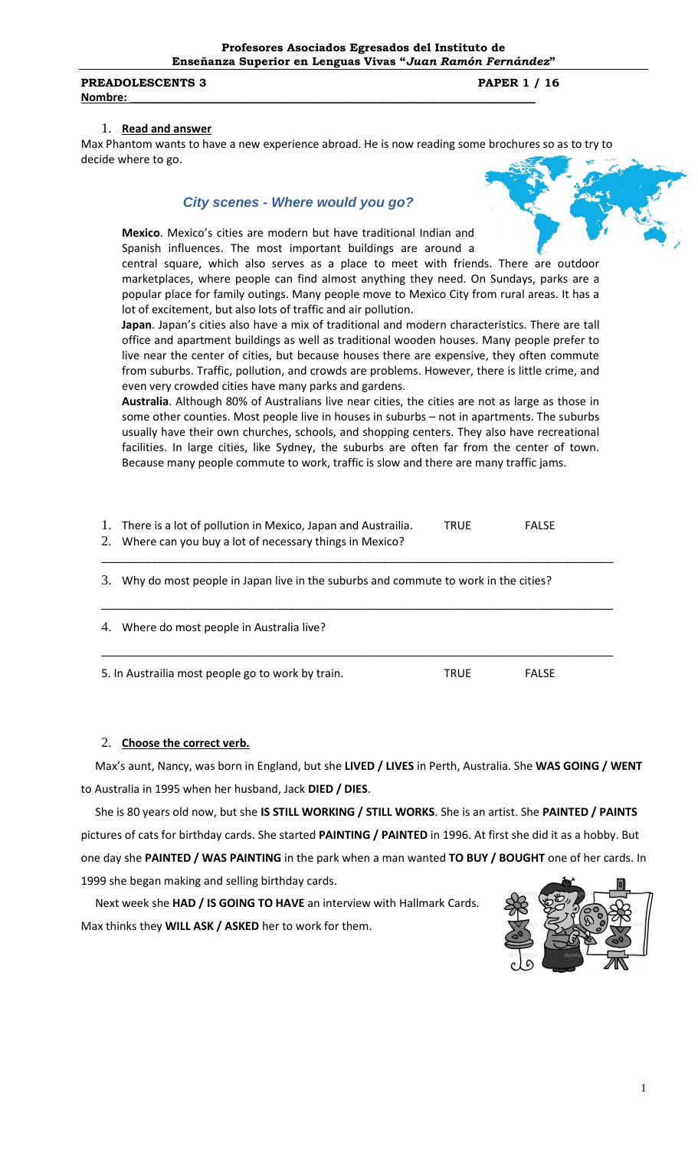**Profesores Asociados Egresados del Instituto de Enseñanza Superior en Lenguas Vivas "***Juan Ramón Fernández***"**

#### **PREADOLESCENTS 3 PAPER 1 / 16 Nombre: \_\_\_\_\_\_\_\_\_\_\_\_\_\_\_\_\_\_\_\_\_\_\_\_\_\_\_\_\_\_\_\_\_\_\_\_\_\_\_\_\_\_\_\_\_\_\_\_\_\_\_\_\_\_\_\_\_\_\_\_\_\_\_\_\_**

#### 1. **Read and answer**

Max Phantom wants to have a new experience abroad. He is now reading some brochures so as to try to decide where to go.

## *City scenes - Where would you go?*



central square, which also serves as a place to meet with friends. There are outdoor marketplaces, where people can find almost anything they need. On Sundays, parks are a popular place for family outings. Many people move to Mexico City from rural areas. It has a lot of excitement, but also lots of traffic and air pollution.

**Japan**. Japan's cities also have a mix of traditional and modern characteristics. There are tall office and apartment buildings as well as traditional wooden houses. Many people prefer to live near the center of cities, but because houses there are expensive, they often commute from suburbs. Traffic, pollution, and crowds are problems. However, there is little crime, and even very crowded cities have many parks and gardens.

**Australia**. Although 80% of Australians live near cities, the cities are not as large as those in some other counties. Most people live in houses in suburbs – not in apartments. The suburbs usually have their own churches, schools, and shopping centers. They also have recreational facilities. In large cities, like Sydney, the suburbs are often far from the center of town. Because many people commute to work, traffic is slow and there are many traffic jams.

| Ι.<br>2. | There is a lot of pollution in Mexico, Japan and Austrailia.<br>Where can you buy a lot of necessary things in Mexico? | <b>TRUE</b> | <b>FALSE</b> |  |
|----------|------------------------------------------------------------------------------------------------------------------------|-------------|--------------|--|
| 3.       | Why do most people in Japan live in the suburbs and commute to work in the cities?                                     |             |              |  |
| 4.       | Where do most people in Australia live?                                                                                |             |              |  |
|          | 5. In Austrailia most people go to work by train.                                                                      | <b>TRUE</b> | <b>FALSE</b> |  |

### 2. **Choose the correct verb.**

 Max's aunt, Nancy, was born in England, but she **LIVED / LIVES** in Perth, Australia. She **WAS GOING / WENT** to Australia in 1995 when her husband, Jack **DIED / DIES**.

 She is 80 years old now, but she **IS STILL WORKING / STILL WORKS**. She is an artist. She **PAINTED / PAINTS** pictures of cats for birthday cards. She started **PAINTING / PAINTED** in 1996. At first she did it as a hobby. But one day she **PAINTED / WAS PAINTING** in the park when a man wanted **TO BUY / BOUGHT** one of her cards. In 1999 she began making and selling birthday cards.

 Next week she **HAD / IS GOING TO HAVE** an interview with Hallmark Cards. Max thinks they **WILL ASK / ASKED** her to work for them.